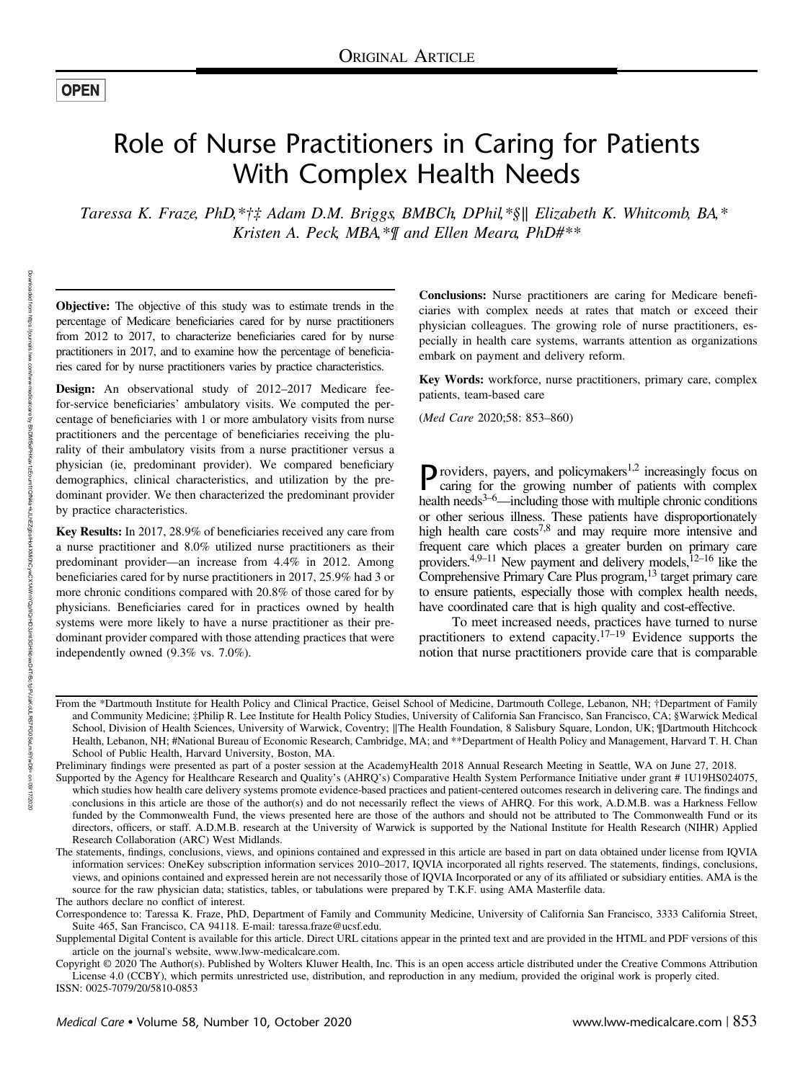## **OPEN**

# Role of Nurse Practitioners in Caring for Patients With Complex Health Needs

Taressa K. Fraze, PhD,\*†‡ Adam D.M. Briggs, BMBCh, DPhil,\*§∥ Elizabeth K. Whitcomb, BA,\* Kristen A. Peck, MBA,\*¶ and Ellen Meara, PhD#\*\*

Objective: The objective of this study was to estimate trends in the percentage of Medicare beneficiaries cared for by nurse practitioners from 2012 to 2017, to characterize beneficiaries cared for by nurse practitioners in 2017, and to examine how the percentage of beneficiaries cared for by nurse practitioners varies by practice characteristics.

Design: An observational study of 2012–2017 Medicare feefor-service beneficiaries' ambulatory visits. We computed the percentage of beneficiaries with 1 or more ambulatory visits from nurse practitioners and the percentage of beneficiaries receiving the plurality of their ambulatory visits from a nurse practitioner versus a physician (ie, predominant provider). We compared beneficiary demographics, clinical characteristics, and utilization by the predominant provider. We then characterized the predominant provider by practice characteristics.

Key Results: In 2017, 28.9% of beneficiaries received any care from a nurse practitioner and 8.0% utilized nurse practitioners as their predominant provider—an increase from 4.4% in 2012. Among beneficiaries cared for by nurse practitioners in 2017, 25.9% had 3 or more chronic conditions compared with 20.8% of those cared for by physicians. Beneficiaries cared for in practices owned by health systems were more likely to have a nurse practitioner as their predominant provider compared with those attending practices that were independently owned (9.3% vs. 7.0%).

Conclusions: Nurse practitioners are caring for Medicare beneficiaries with complex needs at rates that match or exceed their physician colleagues. The growing role of nurse practitioners, especially in health care systems, warrants attention as organizations embark on payment and delivery reform.

Key Words: workforce, nurse practitioners, primary care, complex patients, team-based care

(Med Care 2020;58: 853–860)

 $\sum$  roviders, payers, and policymakers<sup>1,2</sup> increasingly focus on caring for the growing number of patients with complex health needs<sup>3-6</sup>—including those with multiple chronic conditions or other serious illness. These patients have disproportionately high health care costs<sup>7,8</sup> and may require more intensive and frequent care which places a greater burden on primary care providers.<sup>4,9–11</sup> New payment and delivery models,<sup>12–16</sup> like the Comprehensive Primary Care Plus program,<sup>13</sup> target primary care to ensure patients, especially those with complex health needs, have coordinated care that is high quality and cost-effective.

To meet increased needs, practices have turned to nurse practitioners to extend capacity.17–<sup>19</sup> Evidence supports the notion that nurse practitioners provide care that is comparable

The statements, findings, conclusions, views, and opinions contained and expressed in this article are based in part on data obtained under license from IQVIA information services: OneKey subscription information services 2010–2017, IQVIA incorporated all rights reserved. The statements, findings, conclusions, views, and opinions contained and expressed herein are not necessarily those of IQVIA Incorporated or any of its affiliated or subsidiary entities. AMA is the source for the raw physician data; statistics, tables, or tabulations were prepared by T.K.F. using AMA Masterfile data.

From the \*Dartmouth Institute for Health Policy and Clinical Practice, Geisel School of Medicine, Dartmouth College, Lebanon, NH; †Department of Family and Community Medicine; ‡Philip R. Lee Institute for Health Policy Studies, University of California San Francisco, San Francisco, CA; §Warwick Medical School, Division of Health Sciences, University of Warwick, Coventry; ∥The Health Foundation, 8 Salisbury Square, London, UK; ¶Dartmouth Hitchcock Health, Lebanon, NH; #National Bureau of Economic Research, Cambridge, MA; and \*\*Department of Health Policy and Management, Harvard T. H. Chan School of Public Health, Harvard University, Boston, MA.

Preliminary findings were presented as part of a poster session at the AcademyHealth 2018 Annual Research Meeting in Seattle, WA on June 27, 2018. Supported by the Agency for Healthcare Research and Quality's (AHRQ's) Comparative Health System Performance Initiative under grant # 1U19HS024075, which studies how health care delivery systems promote evidence-based practices and patient-centered outcomes research in delivering care. The findings and conclusions in this article are those of the author(s) and do not necessarily reflect the views of AHRQ. For this work, A.D.M.B. was a Harkness Fellow funded by the Commonwealth Fund, the views presented here are those of the authors and should not be attributed to The Commonwealth Fund or its directors, officers, or staff. A.D.M.B. research at the University of Warwick is supported by the National Institute for Health Research (NIHR) Applied Research Collaboration (ARC) West Midlands.

The authors declare no conflict of interest.

Correspondence to: Taressa K. Fraze, PhD, Department of Family and Community Medicine, University of California San Francisco, 3333 California Street, Suite 465, San Francisco, CA 94118. E-mail: [taressa.fraze@ucsf.edu](mailto:taressa.fraze@ucsf.edu).

Supplemental Digital Content is available for this article. Direct URL citations appear in the printed text and are provided in the HTML and PDF versions of this article on the journal's website, [www.lww-medicalcare.com](http://www.lww-medicalcare.com).

Copyright © 2020 The Author(s). Published by Wolters Kluwer Health, Inc. This is an open access article distributed under the [Creative Commons Attribution](http://creativecommons.org/licenses/by/4.0/) [License 4.0](http://creativecommons.org/licenses/by/4.0/) (CCBY), which permits unrestricted use, distribution, and reproduction in any medium, provided the original work is properly cited.

ISSN: 0025-7079/20/5810-0853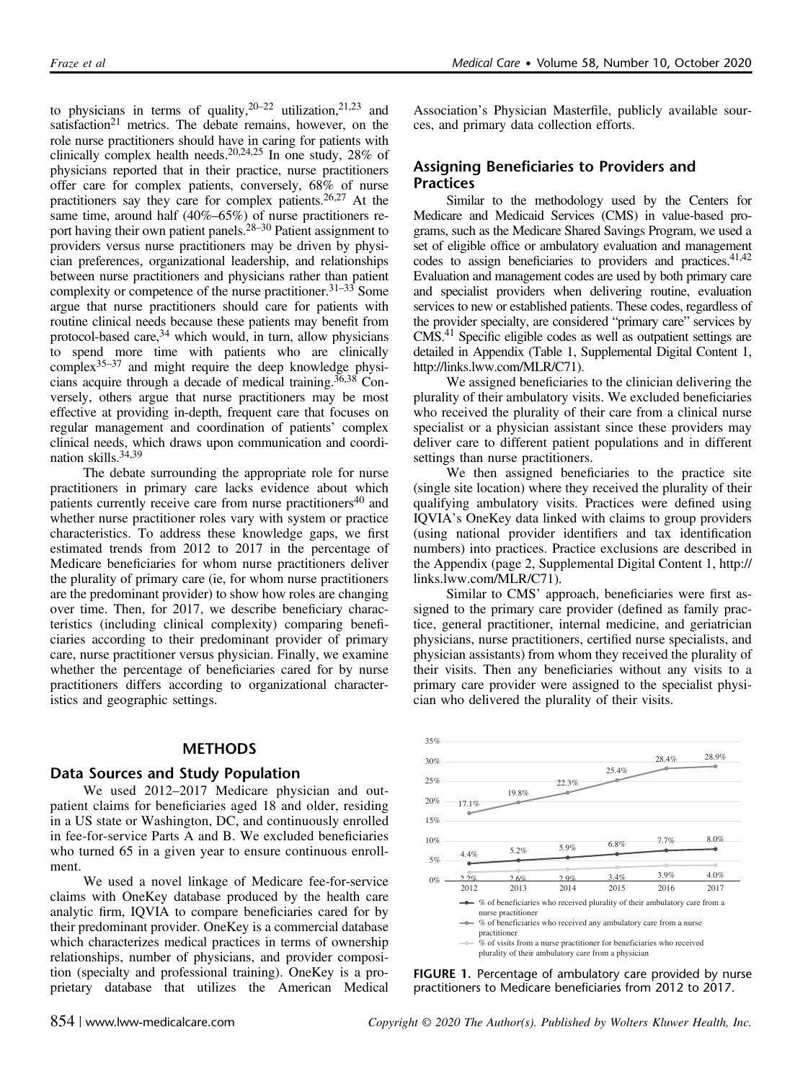to physicians in terms of quality,  $20-22$  utilization,  $21,23$  and satisfaction<sup>21</sup> metrics. The debate remains, however, on the role nurse practitioners should have in caring for patients with clinically complex health needs.20,24,25 In one study, 28% of physicians reported that in their practice, nurse practitioners offer care for complex patients, conversely, 68% of nurse practitioners say they care for complex patients.26,27 At the same time, around half (40%–65%) of nurse practitioners report having their own patient panels.<sup>28–30</sup> Patient assignment to providers versus nurse practitioners may be driven by physician preferences, organizational leadership, and relationships between nurse practitioners and physicians rather than patient complexity or competence of the nurse practitioner.<sup>31–33</sup> Some argue that nurse practitioners should care for patients with routine clinical needs because these patients may benefit from protocol-based care,  $34$  which would, in turn, allow physicians to spend more time with patients who are clinically complex $35-37$  and might require the deep knowledge physicians acquire through a decade of medical training.<sup>36,38</sup> Conversely, others argue that nurse practitioners may be most effective at providing in-depth, frequent care that focuses on regular management and coordination of patients' complex clinical needs, which draws upon communication and coordination skills.<sup>34,39</sup>

The debate surrounding the appropriate role for nurse practitioners in primary care lacks evidence about which patients currently receive care from nurse practitioners<sup>40</sup> and whether nurse practitioner roles vary with system or practice characteristics. To address these knowledge gaps, we first estimated trends from 2012 to 2017 in the percentage of Medicare beneficiaries for whom nurse practitioners deliver the plurality of primary care (ie, for whom nurse practitioners are the predominant provider) to show how roles are changing over time. Then, for 2017, we describe beneficiary characteristics (including clinical complexity) comparing beneficiaries according to their predominant provider of primary care, nurse practitioner versus physician. Finally, we examine whether the percentage of beneficiaries cared for by nurse practitioners differs according to organizational characteristics and geographic settings.

### **METHODS**

#### Data Sources and Study Population

We used 2012–2017 Medicare physician and outpatient claims for beneficiaries aged 18 and older, residing in a US state or Washington, DC, and continuously enrolled in fee-for-service Parts A and B. We excluded beneficiaries who turned 65 in a given year to ensure continuous enrollment.

We used a novel linkage of Medicare fee-for-service claims with OneKey database produced by the health care analytic firm, IQVIA to compare beneficiaries cared for by their predominant provider. OneKey is a commercial database which characterizes medical practices in terms of ownership relationships, number of physicians, and provider composition (specialty and professional training). OneKey is a proprietary database that utilizes the American Medical

Association's Physician Masterfile, publicly available sources, and primary data collection efforts.

## Assigning Beneficiaries to Providers and Practices

Similar to the methodology used by the Centers for Medicare and Medicaid Services (CMS) in value-based programs, such as the Medicare Shared Savings Program, we used a set of eligible office or ambulatory evaluation and management codes to assign beneficiaries to providers and practices.  $41,42$ Evaluation and management codes are used by both primary care and specialist providers when delivering routine, evaluation services to new or established patients. These codes, regardless of the provider specialty, are considered "primary care" services by CMS.41 Specific eligible codes as well as outpatient settings are detailed in Appendix (Table 1, Supplemental Digital Content 1, [http://links.lww.com/MLR/C71\)](http://links.lww.com/MLR/C71).

We assigned beneficiaries to the clinician delivering the plurality of their ambulatory visits. We excluded beneficiaries who received the plurality of their care from a clinical nurse specialist or a physician assistant since these providers may deliver care to different patient populations and in different settings than nurse practitioners.

We then assigned beneficiaries to the practice site (single site location) where they received the plurality of their qualifying ambulatory visits. Practices were defined using IQVIA's OneKey data linked with claims to group providers (using national provider identifiers and tax identification numbers) into practices. Practice exclusions are described in the Appendix (page 2, Supplemental Digital Content 1, [http://](http://links.lww.com/MLR/C71) [links.lww.com/MLR/C71](http://links.lww.com/MLR/C71)).

Similar to CMS' approach, beneficiaries were first assigned to the primary care provider (defined as family practice, general practitioner, internal medicine, and geriatrician physicians, nurse practitioners, certified nurse specialists, and physician assistants) from whom they received the plurality of their visits. Then any beneficiaries without any visits to a primary care provider were assigned to the specialist physician who delivered the plurality of their visits.



FIGURE 1. Percentage of ambulatory care provided by nurse practitioners to Medicare beneficiaries from 2012 to 2017.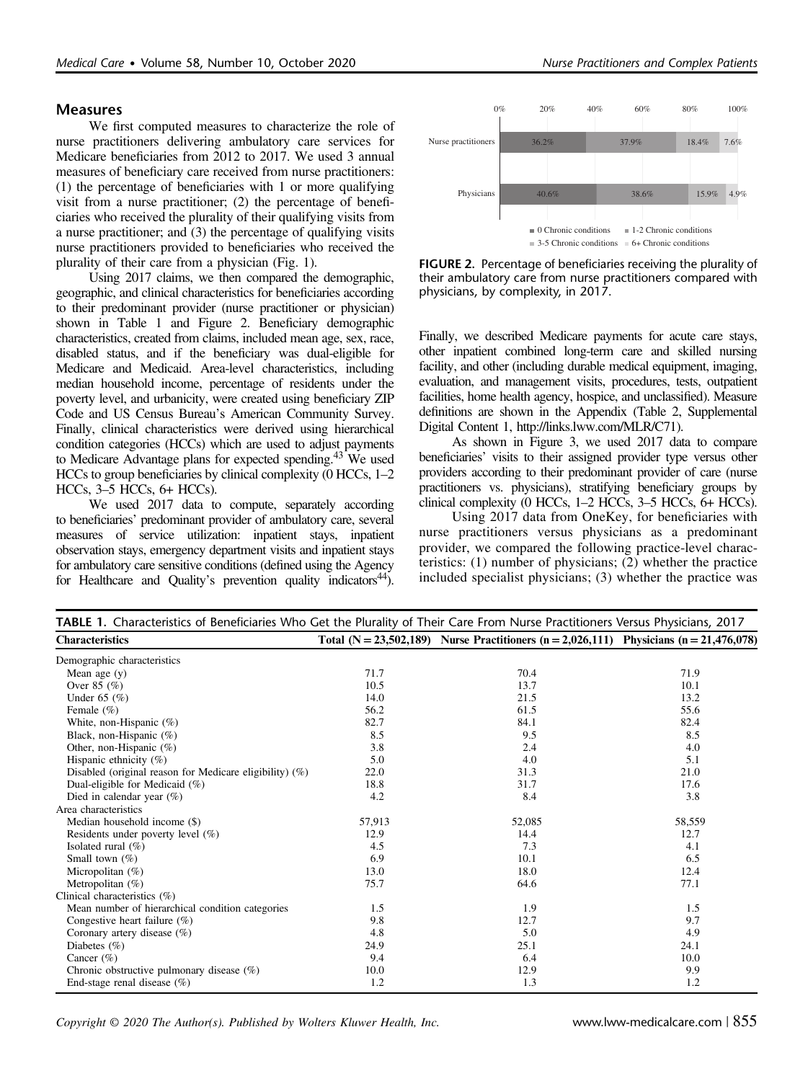#### Measures

We first computed measures to characterize the role of nurse practitioners delivering ambulatory care services for Medicare beneficiaries from 2012 to 2017. We used 3 annual measures of beneficiary care received from nurse practitioners: (1) the percentage of beneficiaries with 1 or more qualifying visit from a nurse practitioner; (2) the percentage of beneficiaries who received the plurality of their qualifying visits from a nurse practitioner; and (3) the percentage of qualifying visits nurse practitioners provided to beneficiaries who received the plurality of their care from a physician (Fig. 1).

Using 2017 claims, we then compared the demographic, geographic, and clinical characteristics for beneficiaries according to their predominant provider (nurse practitioner or physician) shown in Table 1 and Figure 2. Beneficiary demographic characteristics, created from claims, included mean age, sex, race, disabled status, and if the beneficiary was dual-eligible for Medicare and Medicaid. Area-level characteristics, including median household income, percentage of residents under the poverty level, and urbanicity, were created using beneficiary ZIP Code and US Census Bureau's American Community Survey. Finally, clinical characteristics were derived using hierarchical condition categories (HCCs) which are used to adjust payments to Medicare Advantage plans for expected spending.43 We used HCCs to group beneficiaries by clinical complexity (0 HCCs, 1–2 HCCs, 3–5 HCCs, 6+ HCCs).

We used 2017 data to compute, separately according to beneficiaries' predominant provider of ambulatory care, several measures of service utilization: inpatient stays, inpatient observation stays, emergency department visits and inpatient stays for ambulatory care sensitive conditions (defined using the Agency for Healthcare and Quality's prevention quality indicators<sup>44</sup>).



FIGURE 2. Percentage of beneficiaries receiving the plurality of their ambulatory care from nurse practitioners compared with physicians, by complexity, in 2017.

Finally, we described Medicare payments for acute care stays, other inpatient combined long-term care and skilled nursing facility, and other (including durable medical equipment, imaging, evaluation, and management visits, procedures, tests, outpatient facilities, home health agency, hospice, and unclassified). Measure definitions are shown in the Appendix (Table 2, Supplemental Digital Content 1, [http://links.lww.com/MLR/C71\)](http://links.lww.com/MLR/C71).

As shown in Figure 3, we used 2017 data to compare beneficiaries' visits to their assigned provider type versus other providers according to their predominant provider of care (nurse practitioners vs. physicians), stratifying beneficiary groups by clinical complexity (0 HCCs, 1–2 HCCs, 3–5 HCCs, 6+ HCCs).

Using 2017 data from OneKey, for beneficiaries with nurse practitioners versus physicians as a predominant provider, we compared the following practice-level characteristics: (1) number of physicians; (2) whether the practice included specialist physicians; (3) whether the practice was

| TABLE 1. Characteristics of Beneficiaries Who Get the Plurality of Their Care From Nurse Practitioners Versus Physicians, 2017 |        |                                                                                              |        |
|--------------------------------------------------------------------------------------------------------------------------------|--------|----------------------------------------------------------------------------------------------|--------|
| <b>Characteristics</b>                                                                                                         |        | Total $(N = 23,502,189)$ Nurse Practitioners $(n = 2,026,111)$ Physicians $(n = 21,476,078)$ |        |
| Demographic characteristics                                                                                                    |        |                                                                                              |        |
| Mean age $(y)$                                                                                                                 | 71.7   | 70.4                                                                                         | 71.9   |
| Over 85 $(\%)$                                                                                                                 | 10.5   | 13.7                                                                                         | 10.1   |
| Under $65$ $(\%)$                                                                                                              | 14.0   | 21.5                                                                                         | 13.2   |
| Female $(\% )$                                                                                                                 | 56.2   | 61.5                                                                                         | 55.6   |
| White, non-Hispanic $(\%)$                                                                                                     | 82.7   | 84.1                                                                                         | 82.4   |
| Black, non-Hispanic (%)                                                                                                        | 8.5    | 9.5                                                                                          | 8.5    |
| Other, non-Hispanic $(\%)$                                                                                                     | 3.8    | 2.4                                                                                          | 4.0    |
| Hispanic ethnicity $(\%)$                                                                                                      | 5.0    | 4.0                                                                                          | 5.1    |
| Disabled (original reason for Medicare eligibility) $(\%)$                                                                     | 22.0   | 31.3                                                                                         | 21.0   |
| Dual-eligible for Medicaid (%)                                                                                                 | 18.8   | 31.7                                                                                         | 17.6   |
| Died in calendar year $(\% )$                                                                                                  | 4.2    | 8.4                                                                                          | 3.8    |
| Area characteristics                                                                                                           |        |                                                                                              |        |
| Median household income (\$)                                                                                                   | 57,913 | 52,085                                                                                       | 58,559 |
| Residents under poverty level $(\%)$                                                                                           | 12.9   | 14.4                                                                                         | 12.7   |
| Isolated rural $(\% )$                                                                                                         | 4.5    | 7.3                                                                                          | 4.1    |
| Small town $(\%)$                                                                                                              | 6.9    | 10.1                                                                                         | 6.5    |
| Micropolitan $(\%)$                                                                                                            | 13.0   | 18.0                                                                                         | 12.4   |
| Metropolitan $(\%)$                                                                                                            | 75.7   | 64.6                                                                                         | 77.1   |
| Clinical characteristics (%)                                                                                                   |        |                                                                                              |        |
| Mean number of hierarchical condition categories                                                                               | 1.5    | 1.9                                                                                          | 1.5    |
| Congestive heart failure $(\%)$                                                                                                | 9.8    | 12.7                                                                                         | 9.7    |
| Coronary artery disease $(\%)$                                                                                                 | 4.8    | 5.0                                                                                          | 4.9    |
| Diabetes $(\% )$                                                                                                               | 24.9   | 25.1                                                                                         | 24.1   |
| Cancer $(\% )$                                                                                                                 | 9.4    | 6.4                                                                                          | 10.0   |
| Chronic obstructive pulmonary disease $(\%)$                                                                                   | 10.0   | 12.9                                                                                         | 9.9    |
| End-stage renal disease $(\%)$                                                                                                 | 1.2    | 1.3                                                                                          | 1.2    |

Copyright © 2020 The Author(s). Published by Wolters Kluwer Health, Inc. www.lww-medicalcare.com | 855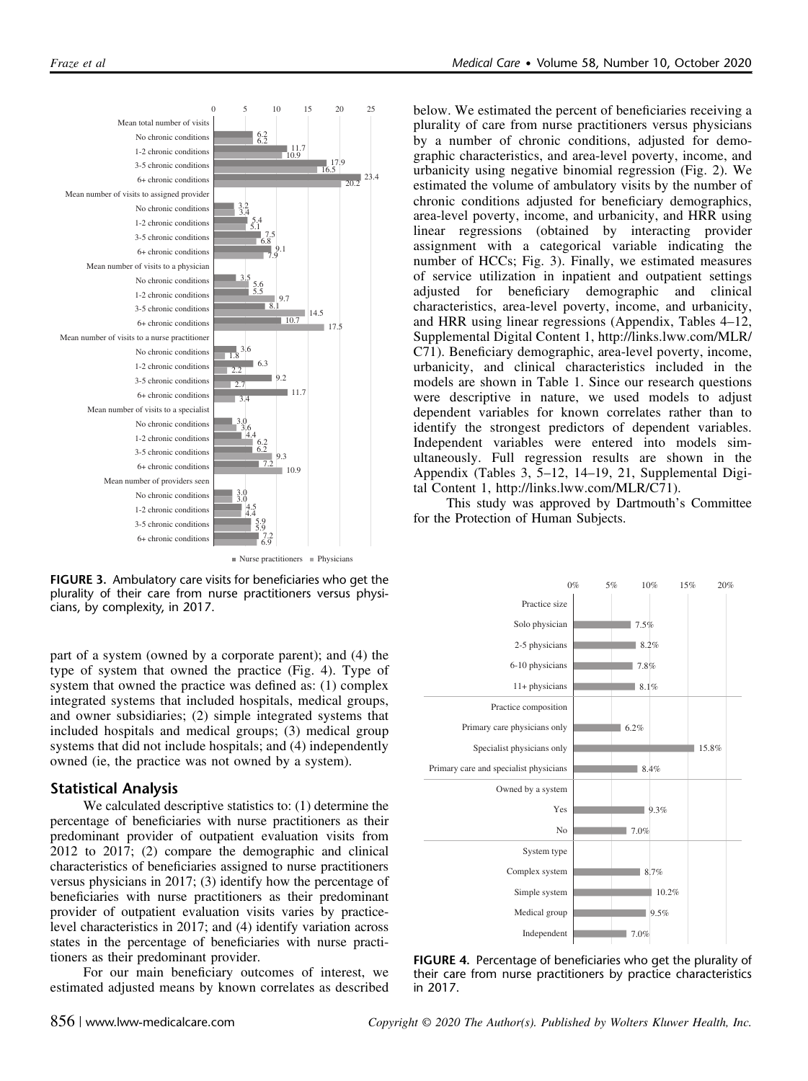

FIGURE 3. Ambulatory care visits for beneficiaries who get the plurality of their care from nurse practitioners versus physicians, by complexity, in 2017.

part of a system (owned by a corporate parent); and (4) the type of system that owned the practice (Fig. 4). Type of system that owned the practice was defined as: (1) complex integrated systems that included hospitals, medical groups, and owner subsidiaries; (2) simple integrated systems that included hospitals and medical groups; (3) medical group systems that did not include hospitals; and (4) independently owned (ie, the practice was not owned by a system).

#### Statistical Analysis

We calculated descriptive statistics to: (1) determine the percentage of beneficiaries with nurse practitioners as their predominant provider of outpatient evaluation visits from 2012 to 2017; (2) compare the demographic and clinical characteristics of beneficiaries assigned to nurse practitioners versus physicians in 2017; (3) identify how the percentage of beneficiaries with nurse practitioners as their predominant provider of outpatient evaluation visits varies by practicelevel characteristics in 2017; and (4) identify variation across states in the percentage of beneficiaries with nurse practitioners as their predominant provider.

For our main beneficiary outcomes of interest, we estimated adjusted means by known correlates as described below. We estimated the percent of beneficiaries receiving a plurality of care from nurse practitioners versus physicians by a number of chronic conditions, adjusted for demographic characteristics, and area-level poverty, income, and urbanicity using negative binomial regression (Fig. 2). We estimated the volume of ambulatory visits by the number of chronic conditions adjusted for beneficiary demographics, area-level poverty, income, and urbanicity, and HRR using linear regressions (obtained by interacting provider assignment with a categorical variable indicating the number of HCCs; Fig. 3). Finally, we estimated measures of service utilization in inpatient and outpatient settings adjusted for beneficiary demographic and clinical characteristics, area-level poverty, income, and urbanicity, and HRR using linear regressions (Appendix, Tables 4–12, Supplemental Digital Content 1, [http://links.lww.com/MLR/](http://links.lww.com/MLR/C71) [C71](http://links.lww.com/MLR/C71)). Beneficiary demographic, area-level poverty, income, urbanicity, and clinical characteristics included in the models are shown in Table 1. Since our research questions were descriptive in nature, we used models to adjust dependent variables for known correlates rather than to identify the strongest predictors of dependent variables. Independent variables were entered into models simultaneously. Full regression results are shown in the Appendix (Tables 3, 5–12, 14–19, 21, Supplemental Digital Content 1,<http://links.lww.com/MLR/C71>).

This study was approved by Dartmouth's Committee for the Protection of Human Subjects.



FIGURE 4. Percentage of beneficiaries who get the plurality of their care from nurse practitioners by practice characteristics in 2017.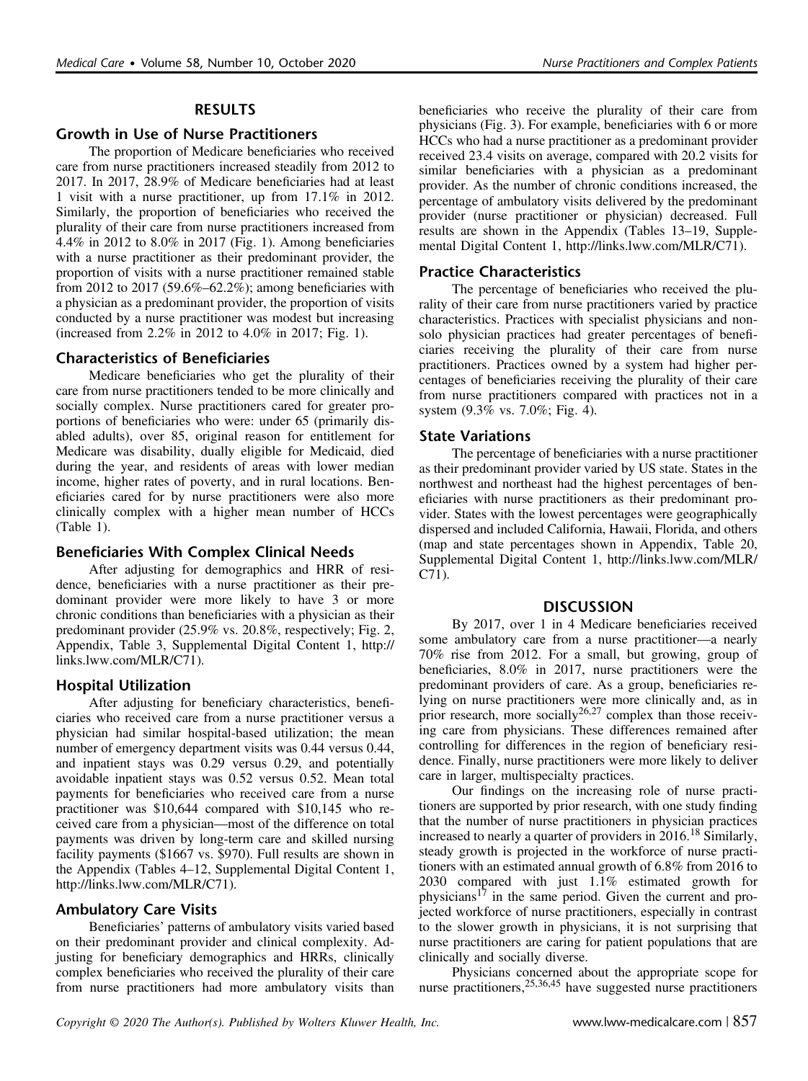## RESULTS

## Growth in Use of Nurse Practitioners

The proportion of Medicare beneficiaries who received care from nurse practitioners increased steadily from 2012 to 2017. In 2017, 28.9% of Medicare beneficiaries had at least 1 visit with a nurse practitioner, up from 17.1% in 2012. Similarly, the proportion of beneficiaries who received the plurality of their care from nurse practitioners increased from 4.4% in 2012 to 8.0% in 2017 (Fig. 1). Among beneficiaries with a nurse practitioner as their predominant provider, the proportion of visits with a nurse practitioner remained stable from 2012 to 2017 (59.6%–62.2%); among beneficiaries with a physician as a predominant provider, the proportion of visits conducted by a nurse practitioner was modest but increasing (increased from 2.2% in 2012 to 4.0% in 2017; Fig. 1).

#### Characteristics of Beneficiaries

Medicare beneficiaries who get the plurality of their care from nurse practitioners tended to be more clinically and socially complex. Nurse practitioners cared for greater proportions of beneficiaries who were: under 65 (primarily disabled adults), over 85, original reason for entitlement for Medicare was disability, dually eligible for Medicaid, died during the year, and residents of areas with lower median income, higher rates of poverty, and in rural locations. Beneficiaries cared for by nurse practitioners were also more clinically complex with a higher mean number of HCCs (Table 1).

#### Beneficiaries With Complex Clinical Needs

After adjusting for demographics and HRR of residence, beneficiaries with a nurse practitioner as their predominant provider were more likely to have 3 or more chronic conditions than beneficiaries with a physician as their predominant provider (25.9% vs. 20.8%, respectively; Fig. 2, Appendix, Table 3, Supplemental Digital Content 1, [http://](http://links.lww.com/MLR/C71) [links.lww.com/MLR/C71](http://links.lww.com/MLR/C71)).

## Hospital Utilization

After adjusting for beneficiary characteristics, beneficiaries who received care from a nurse practitioner versus a physician had similar hospital-based utilization; the mean number of emergency department visits was 0.44 versus 0.44, and inpatient stays was 0.29 versus 0.29, and potentially avoidable inpatient stays was 0.52 versus 0.52. Mean total payments for beneficiaries who received care from a nurse practitioner was \$10,644 compared with \$10,145 who received care from a physician—most of the difference on total payments was driven by long-term care and skilled nursing facility payments (\$1667 vs. \$970). Full results are shown in the Appendix (Tables 4–12, Supplemental Digital Content 1, [http://links.lww.com/MLR/C71\)](http://links.lww.com/MLR/C71).

#### Ambulatory Care Visits

Beneficiaries' patterns of ambulatory visits varied based on their predominant provider and clinical complexity. Adjusting for beneficiary demographics and HRRs, clinically complex beneficiaries who received the plurality of their care from nurse practitioners had more ambulatory visits than beneficiaries who receive the plurality of their care from physicians (Fig. 3). For example, beneficiaries with 6 or more HCCs who had a nurse practitioner as a predominant provider received 23.4 visits on average, compared with 20.2 visits for similar beneficiaries with a physician as a predominant provider. As the number of chronic conditions increased, the percentage of ambulatory visits delivered by the predominant provider (nurse practitioner or physician) decreased. Full results are shown in the Appendix (Tables 13–19, Supplemental Digital Content 1,<http://links.lww.com/MLR/C71>).

#### Practice Characteristics

The percentage of beneficiaries who received the plurality of their care from nurse practitioners varied by practice characteristics. Practices with specialist physicians and nonsolo physician practices had greater percentages of beneficiaries receiving the plurality of their care from nurse practitioners. Practices owned by a system had higher percentages of beneficiaries receiving the plurality of their care from nurse practitioners compared with practices not in a system (9.3% vs. 7.0%; Fig. 4).

#### State Variations

The percentage of beneficiaries with a nurse practitioner as their predominant provider varied by US state. States in the northwest and northeast had the highest percentages of beneficiaries with nurse practitioners as their predominant provider. States with the lowest percentages were geographically dispersed and included California, Hawaii, Florida, and others (map and state percentages shown in Appendix, Table 20, Supplemental Digital Content 1, [http://links.lww.com/MLR/](http://links.lww.com/MLR/C71) [C71](http://links.lww.com/MLR/C71)).

#### DISCUSSION

By 2017, over 1 in 4 Medicare beneficiaries received some ambulatory care from a nurse practitioner—a nearly 70% rise from 2012. For a small, but growing, group of beneficiaries, 8.0% in 2017, nurse practitioners were the predominant providers of care. As a group, beneficiaries relying on nurse practitioners were more clinically and, as in prior research, more socially $26,27$  complex than those receiving care from physicians. These differences remained after controlling for differences in the region of beneficiary residence. Finally, nurse practitioners were more likely to deliver care in larger, multispecialty practices.

Our findings on the increasing role of nurse practitioners are supported by prior research, with one study finding that the number of nurse practitioners in physician practices increased to nearly a quarter of providers in 2016.<sup>18</sup> Similarly, steady growth is projected in the workforce of nurse practitioners with an estimated annual growth of 6.8% from 2016 to 2030 compared with just 1.1% estimated growth for physicians<sup>17</sup> in the same period. Given the current and projected workforce of nurse practitioners, especially in contrast to the slower growth in physicians, it is not surprising that nurse practitioners are caring for patient populations that are clinically and socially diverse.

Physicians concerned about the appropriate scope for nurse practitioners,<sup>25,36,45</sup> have suggested nurse practitioners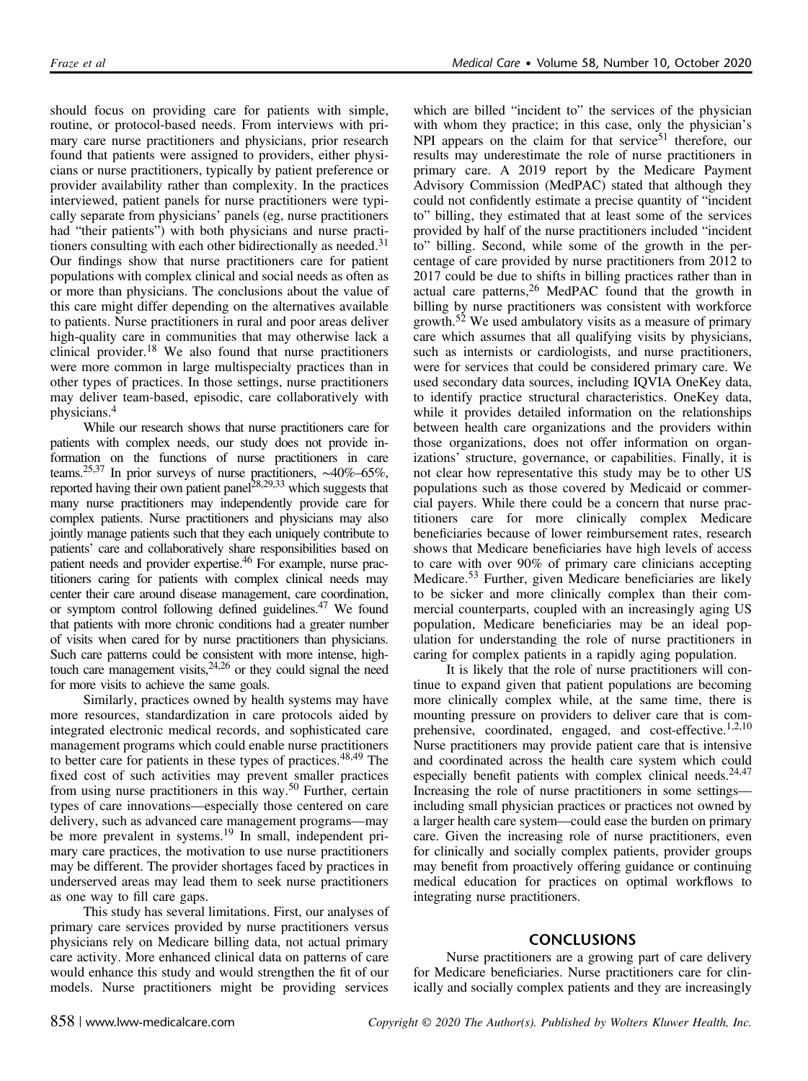should focus on providing care for patients with simple, routine, or protocol-based needs. From interviews with primary care nurse practitioners and physicians, prior research found that patients were assigned to providers, either physicians or nurse practitioners, typically by patient preference or provider availability rather than complexity. In the practices interviewed, patient panels for nurse practitioners were typically separate from physicians' panels (eg, nurse practitioners had "their patients") with both physicians and nurse practitioners consulting with each other bidirectionally as needed.<sup>31</sup> Our findings show that nurse practitioners care for patient populations with complex clinical and social needs as often as or more than physicians. The conclusions about the value of this care might differ depending on the alternatives available to patients. Nurse practitioners in rural and poor areas deliver high-quality care in communities that may otherwise lack a clinical provider.<sup>18</sup> We also found that nurse practitioners were more common in large multispecialty practices than in other types of practices. In those settings, nurse practitioners may deliver team-based, episodic, care collaboratively with physicians.<sup>4</sup>

While our research shows that nurse practitioners care for patients with complex needs, our study does not provide information on the functions of nurse practitioners in care teams.25,37 In prior surveys of nurse practitioners, ∼40%–65%, reported having their own patient panel<sup>28,29,33</sup> which suggests that many nurse practitioners may independently provide care for complex patients. Nurse practitioners and physicians may also jointly manage patients such that they each uniquely contribute to patients' care and collaboratively share responsibilities based on patient needs and provider expertise.46 For example, nurse practitioners caring for patients with complex clinical needs may center their care around disease management, care coordination, or symptom control following defined guidelines.<sup>47</sup> We found that patients with more chronic conditions had a greater number of visits when cared for by nurse practitioners than physicians. Such care patterns could be consistent with more intense, hightouch care management visits,  $24,26$  or they could signal the need for more visits to achieve the same goals.

Similarly, practices owned by health systems may have more resources, standardization in care protocols aided by integrated electronic medical records, and sophisticated care management programs which could enable nurse practitioners to better care for patients in these types of practices.48,49 The fixed cost of such activities may prevent smaller practices from using nurse practitioners in this way.<sup>50</sup> Further, certain types of care innovations—especially those centered on care delivery, such as advanced care management programs—may be more prevalent in systems.<sup>19</sup> In small, independent primary care practices, the motivation to use nurse practitioners may be different. The provider shortages faced by practices in underserved areas may lead them to seek nurse practitioners as one way to fill care gaps.

This study has several limitations. First, our analyses of primary care services provided by nurse practitioners versus physicians rely on Medicare billing data, not actual primary care activity. More enhanced clinical data on patterns of care would enhance this study and would strengthen the fit of our models. Nurse practitioners might be providing services which are billed "incident to" the services of the physician with whom they practice; in this case, only the physician's NPI appears on the claim for that service<sup>51</sup> therefore, our results may underestimate the role of nurse practitioners in primary care. A 2019 report by the Medicare Payment Advisory Commission (MedPAC) stated that although they could not confidently estimate a precise quantity of "incident to" billing, they estimated that at least some of the services provided by half of the nurse practitioners included "incident to" billing. Second, while some of the growth in the percentage of care provided by nurse practitioners from 2012 to 2017 could be due to shifts in billing practices rather than in actual care patterns,<sup>26</sup> MedPAC found that the growth in billing by nurse practitioners was consistent with workforce growth.<sup>52</sup> We used ambulatory visits as a measure of primary care which assumes that all qualifying visits by physicians, such as internists or cardiologists, and nurse practitioners, were for services that could be considered primary care. We used secondary data sources, including IQVIA OneKey data, to identify practice structural characteristics. OneKey data, while it provides detailed information on the relationships between health care organizations and the providers within those organizations, does not offer information on organizations' structure, governance, or capabilities. Finally, it is not clear how representative this study may be to other US populations such as those covered by Medicaid or commercial payers. While there could be a concern that nurse practitioners care for more clinically complex Medicare beneficiaries because of lower reimbursement rates, research shows that Medicare beneficiaries have high levels of access to care with over 90% of primary care clinicians accepting Medicare.<sup>53</sup> Further, given Medicare beneficiaries are likely to be sicker and more clinically complex than their commercial counterparts, coupled with an increasingly aging US population, Medicare beneficiaries may be an ideal population for understanding the role of nurse practitioners in caring for complex patients in a rapidly aging population.

It is likely that the role of nurse practitioners will continue to expand given that patient populations are becoming more clinically complex while, at the same time, there is mounting pressure on providers to deliver care that is comprehensive, coordinated, engaged, and cost-effective.<sup>1,2,10</sup> Nurse practitioners may provide patient care that is intensive and coordinated across the health care system which could especially benefit patients with complex clinical needs. $24,47$ Increasing the role of nurse practitioners in some settings including small physician practices or practices not owned by a larger health care system—could ease the burden on primary care. Given the increasing role of nurse practitioners, even for clinically and socially complex patients, provider groups may benefit from proactively offering guidance or continuing medical education for practices on optimal workflows to integrating nurse practitioners.

## **CONCLUSIONS**

Nurse practitioners are a growing part of care delivery for Medicare beneficiaries. Nurse practitioners care for clinically and socially complex patients and they are increasingly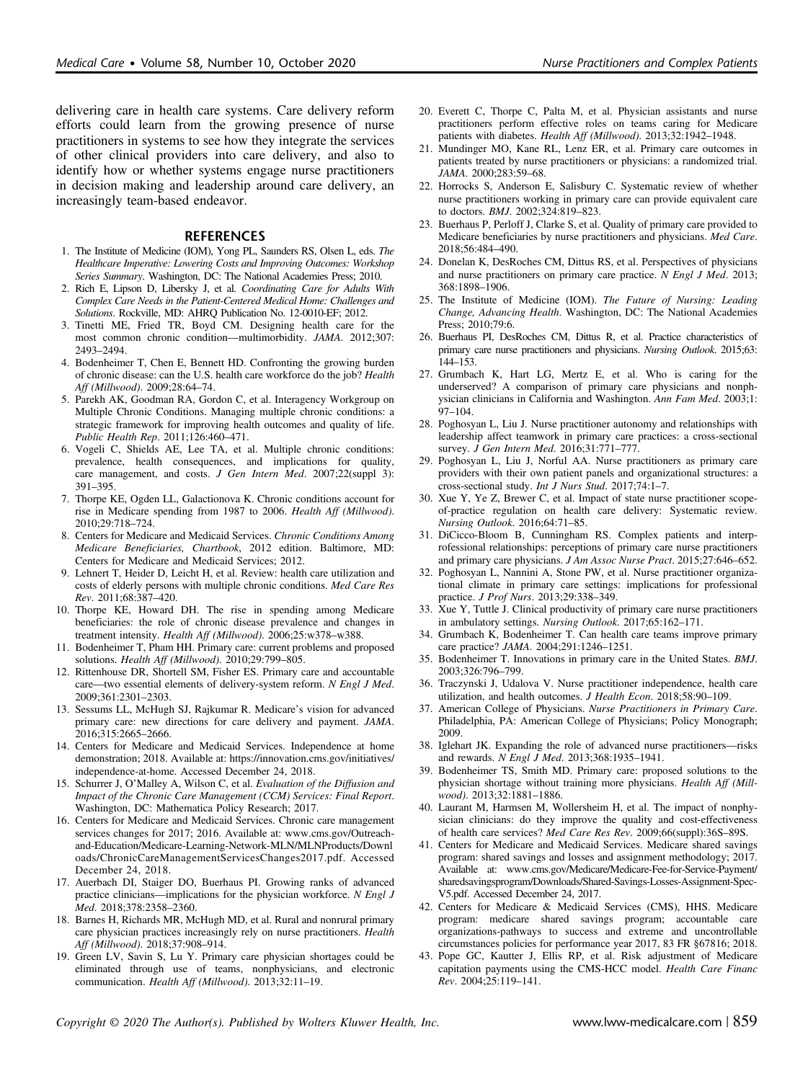delivering care in health care systems. Care delivery reform efforts could learn from the growing presence of nurse practitioners in systems to see how they integrate the services of other clinical providers into care delivery, and also to identify how or whether systems engage nurse practitioners in decision making and leadership around care delivery, an increasingly team-based endeavor.

#### REFERENCES

- 1. The Institute of Medicine (IOM), Yong PL, Saunders RS, Olsen L, eds. The Healthcare Imperative: Lowering Costs and Improving Outcomes: Workshop Series Summary. Washington, DC: The National Academies Press; 2010.
- 2. Rich E, Lipson D, Libersky J, et al. Coordinating Care for Adults With Complex Care Needs in the Patient-Centered Medical Home: Challenges and Solutions. Rockville, MD: AHRQ Publication No. 12-0010-EF; 2012.
- 3. Tinetti ME, Fried TR, Boyd CM. Designing health care for the most common chronic condition—multimorbidity. JAMA. 2012;307: 2493–2494.
- 4. Bodenheimer T, Chen E, Bennett HD. Confronting the growing burden of chronic disease: can the U.S. health care workforce do the job? Health Aff (Millwood). 2009;28:64–74.
- 5. Parekh AK, Goodman RA, Gordon C, et al. Interagency Workgroup on Multiple Chronic Conditions. Managing multiple chronic conditions: a strategic framework for improving health outcomes and quality of life. Public Health Rep. 2011;126:460–471.
- 6. Vogeli C, Shields AE, Lee TA, et al. Multiple chronic conditions: prevalence, health consequences, and implications for quality, care management, and costs. *J Gen Intern Med.* 2007;22(suppl 3): 391–395.
- 7. Thorpe KE, Ogden LL, Galactionova K. Chronic conditions account for rise in Medicare spending from 1987 to 2006. Health Aff (Millwood). 2010;29:718–724.
- 8. Centers for Medicare and Medicaid Services. Chronic Conditions Among Medicare Beneficiaries, Chartbook, 2012 edition. Baltimore, MD: Centers for Medicare and Medicaid Services; 2012.
- 9. Lehnert T, Heider D, Leicht H, et al. Review: health care utilization and costs of elderly persons with multiple chronic conditions. Med Care Res Rev. 2011;68:387–420.
- 10. Thorpe KE, Howard DH. The rise in spending among Medicare beneficiaries: the role of chronic disease prevalence and changes in treatment intensity. Health Aff (Millwood). 2006;25:w378–w388.
- 11. Bodenheimer T, Pham HH. Primary care: current problems and proposed solutions. Health Aff (Millwood). 2010;29:799–805.
- 12. Rittenhouse DR, Shortell SM, Fisher ES. Primary care and accountable care—two essential elements of delivery-system reform. N Engl J Med. 2009;361:2301–2303.
- 13. Sessums LL, McHugh SJ, Rajkumar R. Medicare's vision for advanced primary care: new directions for care delivery and payment. JAMA. 2016;315:2665–2666.
- 14. Centers for Medicare and Medicaid Services. Independence at home demonstration; 2018. Available at: [https://innovation.cms.gov/initiatives/](https://innovation.cms.gov/initiatives/independence-at-home) [independence-at-home](https://innovation.cms.gov/initiatives/independence-at-home). Accessed December 24, 2018.
- 15. Schurrer J, O'Malley A, Wilson C, et al. Evaluation of the Diffusion and Impact of the Chronic Care Management (CCM) Services: Final Report. Washington, DC: Mathematica Policy Research; 2017.
- 16. Centers for Medicare and Medicaid Services. Chronic care management services changes for 2017; 2016. Available at: [www.cms.gov/Outreach](http://www.cms.gov/Outreach-and-Education/Medicare-Learning-Network-MLN/MLNProducts/Downloads/ChronicCareManagementServicesChanges2017.pdf)[and-Education/Medicare-Learning-Network-MLN/MLNProducts/Downl](http://www.cms.gov/Outreach-and-Education/Medicare-Learning-Network-MLN/MLNProducts/Downloads/ChronicCareManagementServicesChanges2017.pdf) [oads/ChronicCareManagementServicesChanges2017.pdf](http://www.cms.gov/Outreach-and-Education/Medicare-Learning-Network-MLN/MLNProducts/Downloads/ChronicCareManagementServicesChanges2017.pdf). Accessed December 24, 2018.
- 17. Auerbach DI, Staiger DO, Buerhaus PI. Growing ranks of advanced practice clinicians—implications for the physician workforce. N Engl J Med. 2018;378:2358–2360.
- 18. Barnes H, Richards MR, McHugh MD, et al. Rural and nonrural primary care physician practices increasingly rely on nurse practitioners. Health Aff (Millwood). 2018;37:908–914.
- 19. Green LV, Savin S, Lu Y. Primary care physician shortages could be eliminated through use of teams, nonphysicians, and electronic communication. Health Aff (Millwood). 2013;32:11–19.
- 20. Everett C, Thorpe C, Palta M, et al. Physician assistants and nurse practitioners perform effective roles on teams caring for Medicare patients with diabetes. Health Aff (Millwood). 2013;32:1942-1948.
- 21. Mundinger MO, Kane RL, Lenz ER, et al. Primary care outcomes in patients treated by nurse practitioners or physicians: a randomized trial. JAMA. 2000;283:59–68.
- 22. Horrocks S, Anderson E, Salisbury C. Systematic review of whether nurse practitioners working in primary care can provide equivalent care to doctors. BMJ. 2002;324:819–823.
- 23. Buerhaus P, Perloff J, Clarke S, et al. Quality of primary care provided to Medicare beneficiaries by nurse practitioners and physicians. Med Care. 2018;56:484–490.
- 24. Donelan K, DesRoches CM, Dittus RS, et al. Perspectives of physicians and nurse practitioners on primary care practice. N Engl J Med. 2013; 368:1898–1906.
- 25. The Institute of Medicine (IOM). The Future of Nursing: Leading Change, Advancing Health. Washington, DC: The National Academies Press; 2010;79:6.
- 26. Buerhaus PI, DesRoches CM, Dittus R, et al. Practice characteristics of primary care nurse practitioners and physicians. Nursing Outlook. 2015;63: 144–153.
- 27. Grumbach K, Hart LG, Mertz E, et al. Who is caring for the underserved? A comparison of primary care physicians and nonphysician clinicians in California and Washington. Ann Fam Med. 2003;1: 97–104.
- 28. Poghosyan L, Liu J. Nurse practitioner autonomy and relationships with leadership affect teamwork in primary care practices: a cross-sectional survey. J Gen Intern Med. 2016;31:771–777.
- 29. Poghosyan L, Liu J, Norful AA. Nurse practitioners as primary care providers with their own patient panels and organizational structures: a cross-sectional study. Int J Nurs Stud. 2017;74:1–7.
- 30. Xue Y, Ye Z, Brewer C, et al. Impact of state nurse practitioner scopeof-practice regulation on health care delivery: Systematic review. Nursing Outlook. 2016;64:71–85.
- 31. DiCicco-Bloom B, Cunningham RS. Complex patients and interprofessional relationships: perceptions of primary care nurse practitioners and primary care physicians. J Am Assoc Nurse Pract. 2015;27:646–652.
- 32. Poghosyan L, Nannini A, Stone PW, et al. Nurse practitioner organizational climate in primary care settings: implications for professional practice. *J Prof Nurs.* 2013;29:338-349.
- 33. Xue Y, Tuttle J. Clinical productivity of primary care nurse practitioners in ambulatory settings. Nursing Outlook. 2017;65:162–171.
- 34. Grumbach K, Bodenheimer T. Can health care teams improve primary care practice? JAMA. 2004;291:1246–1251.
- 35. Bodenheimer T. Innovations in primary care in the United States. BMJ. 2003;326:796–799.
- 36. Traczynski J, Udalova V. Nurse practitioner independence, health care utilization, and health outcomes.  $\hat{J}$  Health Econ. 2018;58:90-109.
- 37. American College of Physicians. Nurse Practitioners in Primary Care. Philadelphia, PA: American College of Physicians; Policy Monograph; 2009.
- 38. Iglehart JK. Expanding the role of advanced nurse practitioners—risks and rewards. N Engl J Med. 2013;368:1935–1941.
- 39. Bodenheimer TS, Smith MD. Primary care: proposed solutions to the physician shortage without training more physicians. Health Aff (Millwood). 2013;32:1881–1886.
- 40. Laurant M, Harmsen M, Wollersheim H, et al. The impact of nonphysician clinicians: do they improve the quality and cost-effectiveness of health care services? Med Care Res Rev. 2009;66(suppl):36S–89S.
- 41. Centers for Medicare and Medicaid Services. Medicare shared savings program: shared savings and losses and assignment methodology; 2017. Available at: [www.cms.gov/Medicare/Medicare-Fee-for-Service-Payment/](http://www.cms.gov/Medicare/Medicare-Fee-for-Service-Payment/sharedsavingsprogram/Downloads/Shared-Savings-Losses-Assignment-Spec-V5.pdf) [sharedsavingsprogram/Downloads/Shared-Savings-Losses-Assignment-Spec-](http://www.cms.gov/Medicare/Medicare-Fee-for-Service-Payment/sharedsavingsprogram/Downloads/Shared-Savings-Losses-Assignment-Spec-V5.pdf)[V5.pdf](http://www.cms.gov/Medicare/Medicare-Fee-for-Service-Payment/sharedsavingsprogram/Downloads/Shared-Savings-Losses-Assignment-Spec-V5.pdf). Accessed December 24, 2017.
- 42. Centers for Medicare & Medicaid Services (CMS), HHS. Medicare program: medicare shared savings program; accountable care organizations-pathways to success and extreme and uncontrollable circumstances policies for performance year 2017, 83 FR §67816; 2018.
- 43. Pope GC, Kautter J, Ellis RP, et al. Risk adjustment of Medicare capitation payments using the CMS-HCC model. Health Care Financ Rev. 2004;25:119–141.